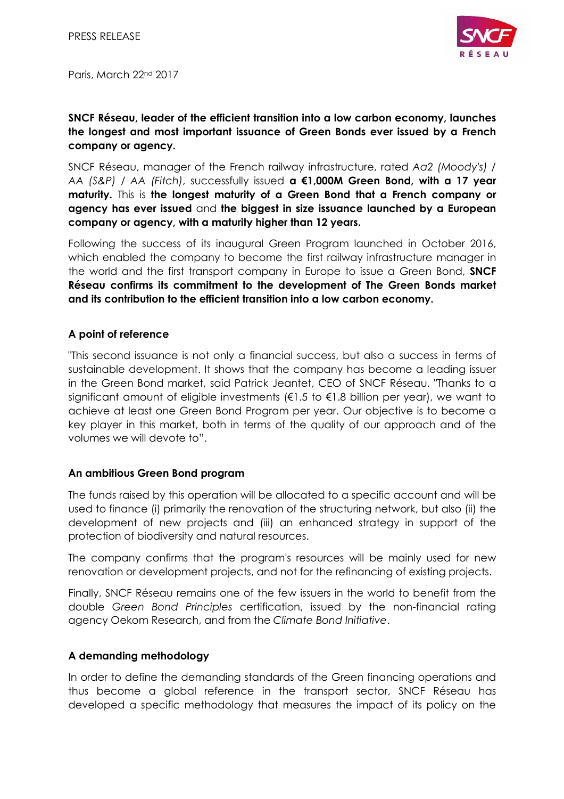

Paris, March 22<sup>nd</sup> 2017

# **SNCF Réseau, leader of the efficient transition into a low carbon economy, launches the longest and most important issuance of Green Bonds ever issued by a French company or agency.**

SNCF Réseau, manager of the French railway infrastructure, rated *Aa2 (Moody's) / AA (S&P) / AA (Fitch)*, successfully issued **a €1,000M Green Bond, with a 17 year maturity.** This is **the longest maturity of a Green Bond that a French company or agency has ever issued** and **the biggest in size issuance launched by a European company or agency, with a maturity higher than 12 years.**

Following the success of its inaugural Green Program launched in October 2016, which enabled the company to become the first railway infrastructure manager in the world and the first transport company in Europe to issue a Green Bond, **SNCF Réseau confirms its commitment to the development of The Green Bonds market and its contribution to the efficient transition into a low carbon economy.**

### **A point of reference**

"This second issuance is not only a financial success, but also a success in terms of sustainable development. It shows that the company has become a leading issuer in the Green Bond market, said Patrick Jeantet, CEO of SNCF Réseau. "Thanks to a significant amount of eligible investments ( $\epsilon$ 1.5 to  $\epsilon$ 1.8 billion per year), we want to achieve at least one Green Bond Program per year. Our objective is to become a key player in this market, both in terms of the quality of our approach and of the volumes we will devote to".

## **An ambitious Green Bond program**

The funds raised by this operation will be allocated to a specific account and will be used to finance (i) primarily the renovation of the structuring network, but also (ii) the development of new projects and (iii) an enhanced strategy in support of the protection of biodiversity and natural resources.

The company confirms that the program's resources will be mainly used for new renovation or development projects, and not for the refinancing of existing projects.

Finally, SNCF Réseau remains one of the few issuers in the world to benefit from the double *Green Bond Principles* certification, issued by the non-financial rating agency Oekom Research, and from the *Climate Bond Initiative*.

## **A demanding methodology**

In order to define the demanding standards of the Green financing operations and thus become a global reference in the transport sector, SNCF Réseau has developed a specific methodology that measures the impact of its policy on the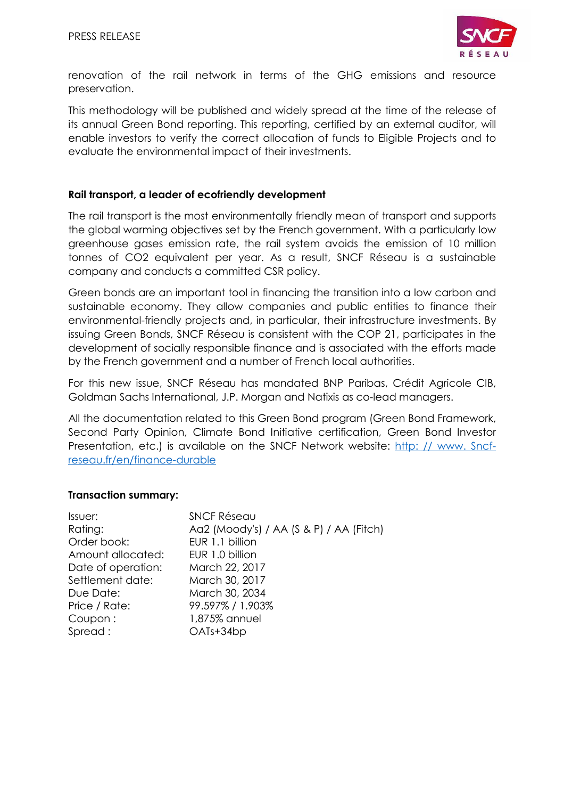

renovation of the rail network in terms of the GHG emissions and resource preservation.

This methodology will be published and widely spread at the time of the release of its annual Green Bond reporting. This reporting, certified by an external auditor, will enable investors to verify the correct allocation of funds to Eligible Projects and to evaluate the environmental impact of their investments.

#### **Rail transport, a leader of ecofriendly development**

The rail transport is the most environmentally friendly mean of transport and supports the global warming objectives set by the French government. With a particularly low greenhouse gases emission rate, the rail system avoids the emission of 10 million tonnes of CO2 equivalent per year. As a result, SNCF Réseau is a sustainable company and conducts a committed CSR policy.

Green bonds are an important tool in financing the transition into a low carbon and sustainable economy. They allow companies and public entities to finance their environmental-friendly projects and, in particular, their infrastructure investments. By issuing Green Bonds, SNCF Réseau is consistent with the COP 21, participates in the development of socially responsible finance and is associated with the efforts made by the French government and a number of French local authorities.

For this new issue, SNCF Réseau has mandated BNP Paribas, Crédit Agricole CIB, Goldman Sachs International, J.P. Morgan and Natixis as co-lead managers.

All the documentation related to this Green Bond program (Green Bond Framework, Second Party Opinion, Climate Bond Initiative certification, Green Bond Investor Presentation, etc.) is available on the SNCF Network website: http: // www. Sncfreseau.fr/en/finance-durable

#### **Transaction summary:**

| <b>SNCF Réseau</b>                      |
|-----------------------------------------|
| Aa2 (Moody's) / AA (S & P) / AA (Fitch) |
| EUR 1.1 billion                         |
| EUR 1.0 billion                         |
| March 22, 2017                          |
| March 30, 2017                          |
| March 30, 2034                          |
| 99.597% / 1.903%                        |
| 1,875% annuel                           |
| OATs+34bp                               |
|                                         |